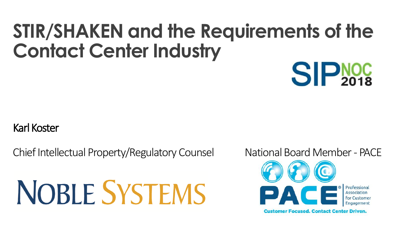#### **STIR/SHAKEN and the Requirements of the Contact Center Industry**

#### Karl Koster

Chief Intellectual Property/Regulatory Counsel National Board Member - PACE

# **NOBLE SYSTEMS**

**SIPNOC** 



**Customer Focused, Contact Center Driven.**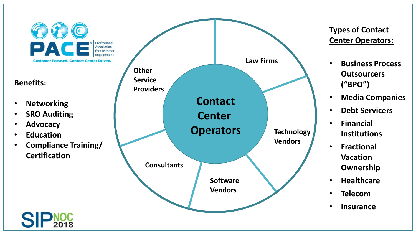

#### **Benefits:**

- **Networking**
- **SRO Auditing**
- **Advocacy**
- **Education**
- **Compliance Training/ Certification**

2018



#### **Types of Contact Center Operators:**

- **Business Process Outsourcers ("BPO")**
- **Media Companies**
- **Debt Servicers**
- **Financial Institutions**
- **Fractional Vacation Ownership**
- **Healthcare**
- **Telecom**
- **Insurance**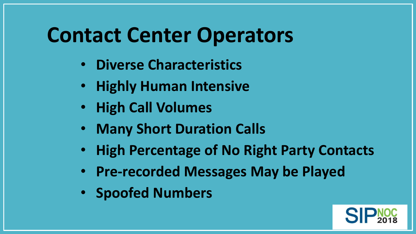#### **Contact Center Operators**

- **Diverse Characteristics**
- **Highly Human Intensive**
- **High Call Volumes**
- **Many Short Duration Calls**
- **High Percentage of No Right Party Contacts**
- **Pre-recorded Messages May be Played**
- **Spoofed Numbers**

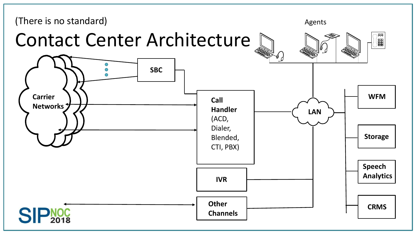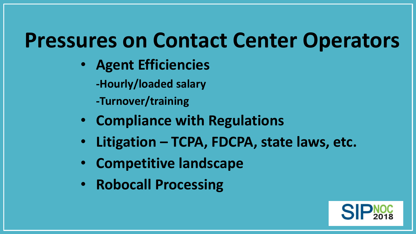#### **Pressures on Contact Center Operators**

- **Agent Efficiencies**
	- **-Hourly/loaded salary**
	- **-Turnover/training**
- **Compliance with Regulations**
- **Litigation – TCPA, FDCPA, state laws, etc.**
- **Competitive landscape**
- **Robocall Processing**

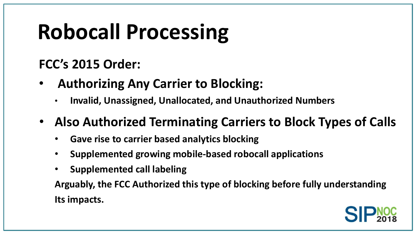### **Robocall Processing**

**FCC's 2015 Order:**

- **Authorizing Any Carrier to Blocking:**
	- **Invalid, Unassigned, Unallocated, and Unauthorized Numbers**
- **Also Authorized Terminating Carriers to Block Types of Calls**
	- **Gave rise to carrier based analytics blocking**
	- **Supplemented growing mobile-based robocall applications**
	- **Supplemented call labeling**

**Arguably, the FCC Authorized this type of blocking before fully understanding Its impacts.**

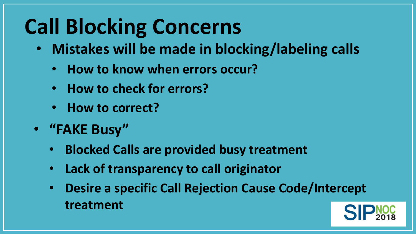#### **Call Blocking Concerns**

- **Mistakes will be made in blocking/labeling calls**
	- **How to know when errors occur?**
	- **How to check for errors?**
	- **How to correct?**
- **"FAKE Busy"**
	- **Blocked Calls are provided busy treatment**
	- **Lack of transparency to call originator**
	- **Desire a specific Call Rejection Cause Code/Intercept treatment**

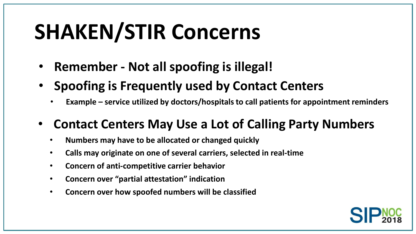### **SHAKEN/STIR Concerns**

- **Remember - Not all spoofing is illegal!**
- **Spoofing is Frequently used by Contact Centers**
	- **Example – service utilized by doctors/hospitals to call patients for appointment reminders**
- **Contact Centers May Use a Lot of Calling Party Numbers**
	- **Numbers may have to be allocated or changed quickly**
	- **Calls may originate on one of several carriers, selected in real-time**
	- **Concern of anti-competitive carrier behavior**
	- **Concern over "partial attestation" indication**
	- **Concern over how spoofed numbers will be classified**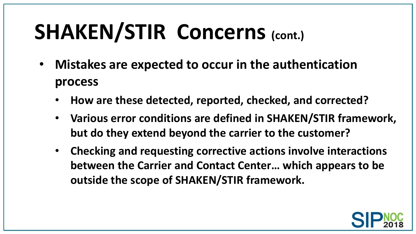## **SHAKEN/STIR Concerns (cont.)**

- **Mistakes are expected to occur in the authentication process**
	- **How are these detected, reported, checked, and corrected?**
	- **Various error conditions are defined in SHAKEN/STIR framework, but do they extend beyond the carrier to the customer?**
	- **Checking and requesting corrective actions involve interactions between the Carrier and Contact Center… which appears to be outside the scope of SHAKEN/STIR framework.**

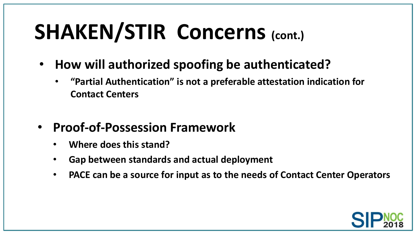## **SHAKEN/STIR Concerns (cont.)**

- **How will authorized spoofing be authenticated?**
	- **"Partial Authentication" is not a preferable attestation indication for Contact Centers**
- **Proof-of-Possession Framework**
	- **Where does this stand?**
	- **Gap between standards and actual deployment**
	- **PACE can be a source for input as to the needs of Contact Center Operators**